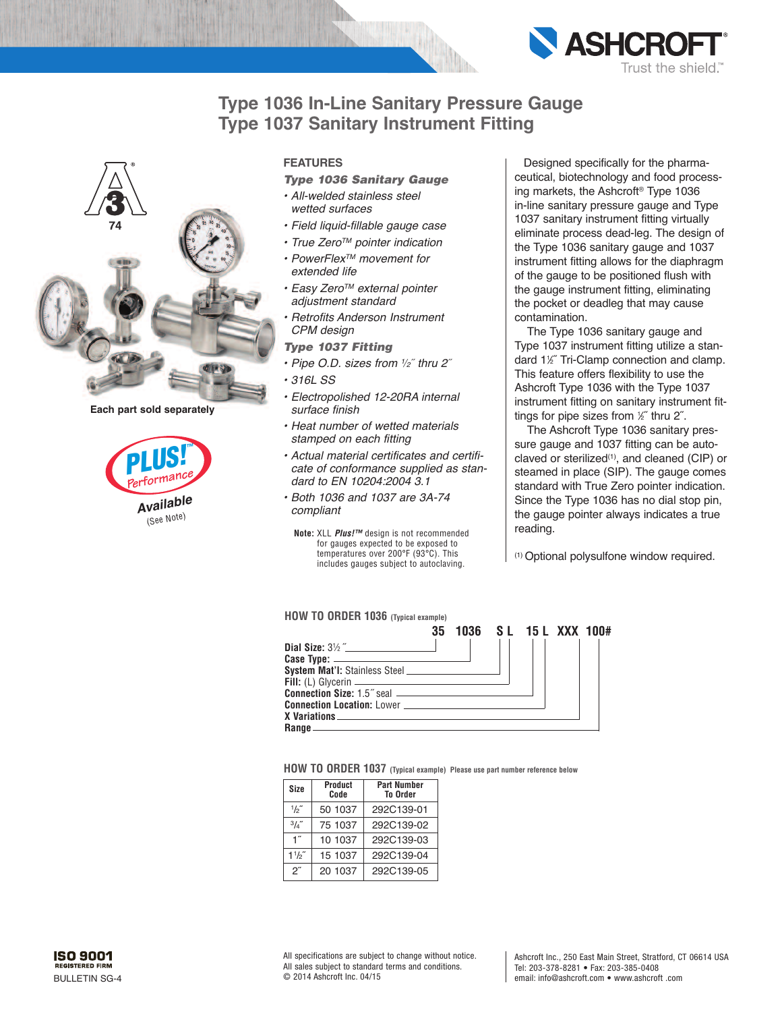



**Each part sold separately**



### **FEATURES**

## *Type 1036 Sanitary Gauge*

- *• All-welded stainless steel wetted surfaces*
- *• Field liquid-fillable gauge case*
- *• True ZeroTM pointer indication*
- *• PowerFlexTM movement for extended life*
- *• Easy ZeroTM external pointer adjustment standard*
- *• Retrofits Anderson Instrument CPM design*

*Type 1037 Fitting*

- *• Pipe O.D. sizes from <sup>1</sup>*⁄*2*˝ *thru 2*˝
- *• 316L SS*
- *• Electropolished 12-20RA internal surface finish*
- *• Heat number of wetted materials stamped on each fitting*
- *• Actual material certificates and certificate of conformance supplied as standard to EN 10204:2004 3.1*
- *• Both 1036 and 1037 are 3A-74 compliant*
- **Note:** XLL *Plus!™* design is not recommended for gauges expected to be exposed to temperatures over 200°F (93°C). This includes gauges subject to autoclaving.

Designed specifically for the pharmaceutical, biotechnology and food processing markets, the Ashcroft ® Type 1036 in-line sanitary pressure gauge and Type 1037 sanitary instrument fitting virtually eliminate process dead-leg. The design of the Type 1036 sanitary gauge and 1037 instrument fitting allows for the diaphragm of the gauge to be positioned flush with the gauge instrument fitting, eliminating the pocket or deadleg that may cause contamination.

**ASHCRO** 

rust the shield.

The Type 1036 sanitary gauge and Type 1037 instrument fitting utilize a standard 11 ⁄2˝ Tri-Clamp connection and clamp. This feature offers flexibility to use the Ashcroft Type 1036 with the Type 1037 instrument fitting on sanitary instrument fittings for pipe sizes from <sup>1</sup> ⁄2˝ thru 2˝.

The Ashcroft Type 1036 sanitary pressure gauge and 1037 fitting can be autoclaved or sterilized(1) , and cleaned (CIP) or steamed in place (SIP). The gauge comes standard with True Zero pointer indication. Since the Type 1036 has no dial stop pin, the gauge pointer always indicates a true reading.

(1) Optional polysulfone window required.

#### **HOW TO ORDER 1036 (Typical example)**



**HOW TO ORDER 1037 (Typical example) Please use part number reference below**

| Size               | Product<br>Code | <b>Part Number</b><br><b>To Order</b> |  |  |
|--------------------|-----------------|---------------------------------------|--|--|
| 1/2                | 50 1037         | 292C139-01                            |  |  |
| $3/4$ "            | 75 1037         | 292C139-02                            |  |  |
| 1″                 | 10 1037         | 292C139-03                            |  |  |
| 11/2"              | 15 1037         | 292C139-04                            |  |  |
| $2^{\prime\prime}$ | 20 1037         | 292C139-05                            |  |  |